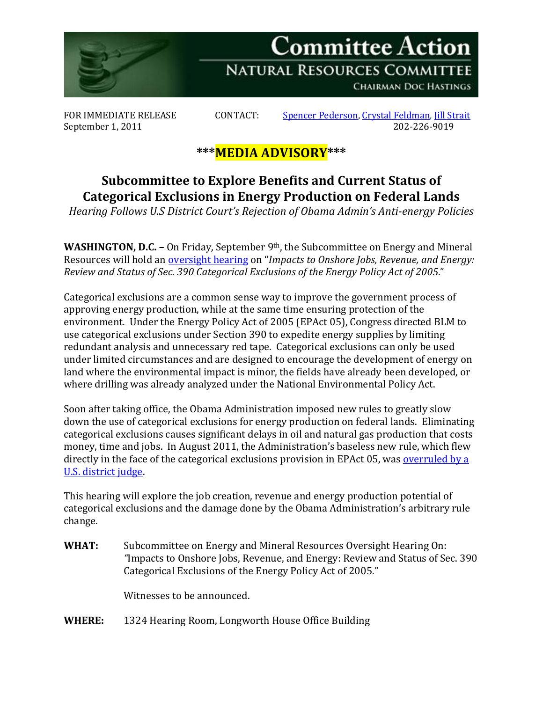

September 1, 2011

FOR IMMEDIATE RELEASE CONTACT: [Spencer Pederson,](mailto:spencer.pederson@mail.house.gov) [Crystal Feldman,](mailto:crystal.feldman@mail.house.gov) [Jill Strait](mailto:jill.strait@mail.house.gov)<br>September 1, 2011 2011

## **\*\*\*MEDIA ADVISORY\*\*\***

## **Subcommittee to Explore Benefits and Current Status of Categorical Exclusions in Energy Production on Federal Lands**

*Hearing Follows U.S District Court's Rejection of Obama Admin's Anti-energy Policies*

**WASHINGTON, D.C. –** On Friday, September 9th, the Subcommittee on Energy and Mineral Resources will hold an [oversight hearing](http://naturalresources.house.gov/Calendar/EventSingle.aspx?EventID=258028) on "*Impacts to Onshore Jobs, Revenue, and Energy: Review and Status of Sec. 390 Categorical Exclusions of the Energy Policy Act of 2005*."

Categorical exclusions are a common sense way to improve the government process of approving energy production, while at the same time ensuring protection of the environment. Under the Energy Policy Act of 2005 (EPAct 05), Congress directed BLM to use categorical exclusions under Section 390 to expedite energy supplies by limiting redundant analysis and unnecessary red tape. Categorical exclusions can only be used under limited circumstances and are designed to encourage the development of energy on land where the environmental impact is minor, the fields have already been developed, or where drilling was already analyzed under the National Environmental Policy Act.

Soon after taking office, the Obama Administration imposed new rules to greatly slow down the use of categorical exclusions for energy production on federal lands. Eliminating categorical exclusions causes significant delays in oil and natural gas production that costs money, time and jobs. In August 2011, the Administration's baseless new rule, which flew directly in the face of the categorical exclusions provision in EPAct 05, wa[s overruled by a](http://www.nytimes.com/gwire/2011/08/15/15greenwire-judge-nixes-tighter-us-oversight-of-oil-and-gas-8074.html)  [U.S. district judge.](http://www.nytimes.com/gwire/2011/08/15/15greenwire-judge-nixes-tighter-us-oversight-of-oil-and-gas-8074.html)

This hearing will explore the job creation, revenue and energy production potential of categorical exclusions and the damage done by the Obama Administration's arbitrary rule change.

**WHAT:** Subcommittee on Energy and Mineral Resources Oversight Hearing On: *"*Impacts to Onshore Jobs, Revenue, and Energy: Review and Status of Sec. 390 Categorical Exclusions of the Energy Policy Act of 2005."

Witnesses to be announced.

**WHERE:** 1324 Hearing Room, Longworth House Office Building